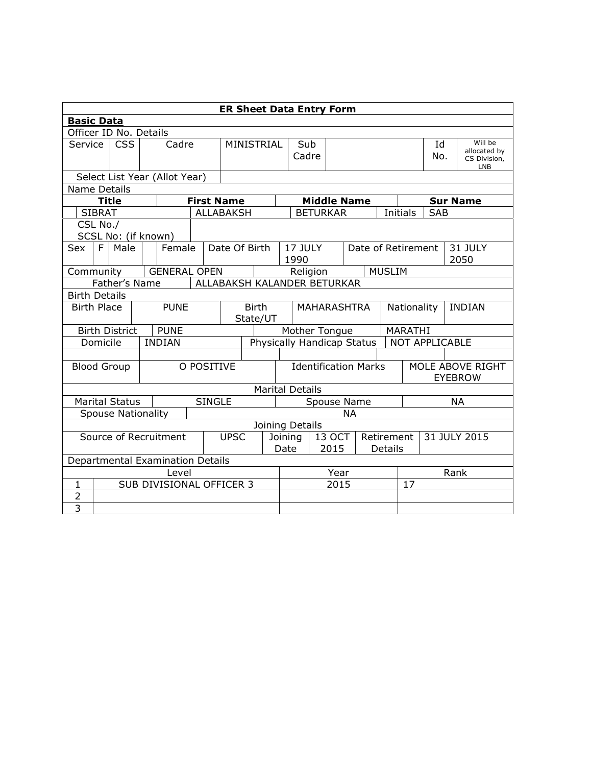|                    | <b>ER Sheet Data Entry Form</b>              |                           |  |                               |                   |                            |          |     |                                       |                        |                 |                              |                                    |          |           |                         |  |                     |
|--------------------|----------------------------------------------|---------------------------|--|-------------------------------|-------------------|----------------------------|----------|-----|---------------------------------------|------------------------|-----------------|------------------------------|------------------------------------|----------|-----------|-------------------------|--|---------------------|
| <b>Basic Data</b>  |                                              |                           |  |                               |                   |                            |          |     |                                       |                        |                 |                              |                                    |          |           |                         |  |                     |
|                    |                                              | Officer ID No. Details    |  |                               |                   |                            |          |     |                                       |                        |                 |                              |                                    |          |           |                         |  |                     |
| Service            | <b>CSS</b><br>Cadre                          |                           |  | MINISTRIAL                    |                   |                            |          | Sub |                                       |                        |                 |                              |                                    | Id       |           | Will be<br>allocated by |  |                     |
|                    |                                              |                           |  |                               |                   |                            |          |     |                                       | Cadre                  |                 |                              |                                    |          |           | No.                     |  | CS Division,<br>LNB |
|                    |                                              |                           |  | Select List Year (Allot Year) |                   |                            |          |     |                                       |                        |                 |                              |                                    |          |           |                         |  |                     |
| Name Details       |                                              |                           |  |                               |                   |                            |          |     |                                       |                        |                 |                              |                                    |          |           |                         |  |                     |
|                    |                                              | <b>Title</b>              |  |                               | <b>First Name</b> |                            |          |     | <b>Middle Name</b>                    |                        |                 |                              |                                    |          |           | <b>Sur Name</b>         |  |                     |
|                    | <b>SIBRAT</b>                                |                           |  |                               |                   | <b>ALLABAKSH</b>           |          |     |                                       |                        | <b>BETURKAR</b> |                              |                                    | Initials |           | <b>SAB</b>              |  |                     |
|                    | CSL No./                                     |                           |  |                               |                   |                            |          |     |                                       |                        |                 |                              |                                    |          |           |                         |  |                     |
|                    |                                              | SCSL No: (if known)       |  |                               |                   |                            |          |     |                                       |                        |                 |                              |                                    |          |           |                         |  |                     |
| Sex                | F.                                           | Male                      |  | Female                        |                   | Date Of Birth              |          |     | 17 JULY<br>Date of Retirement<br>1990 |                        |                 | 31 JULY<br>2050              |                                    |          |           |                         |  |                     |
|                    | <b>GENERAL OPEN</b><br>Community             |                           |  |                               |                   |                            | Religion |     | <b>MUSLIM</b>                         |                        |                 |                              |                                    |          |           |                         |  |                     |
|                    | ALLABAKSH KALANDER BETURKAR<br>Father's Name |                           |  |                               |                   |                            |          |     |                                       |                        |                 |                              |                                    |          |           |                         |  |                     |
|                    | <b>Birth Details</b>                         |                           |  |                               |                   |                            |          |     |                                       |                        |                 |                              |                                    |          |           |                         |  |                     |
| <b>Birth Place</b> |                                              |                           |  | <b>PUNE</b>                   | <b>Birth</b>      |                            |          |     | <b>MAHARASHTRA</b>                    |                        |                 | Nationality<br><b>INDIAN</b> |                                    |          |           |                         |  |                     |
|                    |                                              |                           |  |                               |                   | State/UT                   |          |     |                                       |                        |                 |                              |                                    |          |           |                         |  |                     |
|                    |                                              | <b>Birth District</b>     |  | <b>PUNE</b>                   |                   |                            |          |     |                                       | Mother Tongue          |                 |                              |                                    | MARATHI  |           |                         |  |                     |
|                    | Domicile                                     |                           |  | <b>INDIAN</b>                 |                   | Physically Handicap Status |          |     |                                       | NOT APPLICABLE         |                 |                              |                                    |          |           |                         |  |                     |
|                    |                                              |                           |  |                               |                   |                            |          |     |                                       |                        |                 |                              |                                    |          |           |                         |  |                     |
|                    |                                              | <b>Blood Group</b>        |  |                               |                   | O POSITIVE                 |          |     | <b>Identification Marks</b>           |                        |                 |                              | MOLE ABOVE RIGHT<br><b>EYEBROW</b> |          |           |                         |  |                     |
|                    |                                              |                           |  |                               |                   |                            |          |     |                                       | <b>Marital Details</b> |                 |                              |                                    |          |           |                         |  |                     |
|                    |                                              | <b>Marital Status</b>     |  |                               | <b>SINGLE</b>     |                            |          |     | Spouse Name                           |                        |                 |                              |                                    |          | <b>NA</b> |                         |  |                     |
|                    |                                              | <b>Spouse Nationality</b> |  |                               |                   |                            |          |     |                                       |                        |                 | <b>NA</b>                    |                                    |          |           |                         |  |                     |
|                    |                                              |                           |  |                               |                   |                            |          |     |                                       | Joining Details        |                 |                              |                                    |          |           |                         |  |                     |
|                    | <b>UPSC</b><br>Source of Recruitment         |                           |  |                               |                   |                            |          |     | 13 OCT<br>Retirement<br>Joining       |                        |                 |                              | 31 JULY 2015                       |          |           |                         |  |                     |
|                    |                                              |                           |  |                               |                   |                            |          |     | Date                                  |                        | 2015            |                              |                                    | Details  |           |                         |  |                     |
|                    | Departmental Examination Details             |                           |  |                               |                   |                            |          |     |                                       |                        |                 |                              |                                    |          |           |                         |  |                     |
| Level              |                                              |                           |  |                               |                   |                            |          |     |                                       |                        |                 | Year                         |                                    |          |           | Rank                    |  |                     |
| $\mathbf{1}$       | SUB DIVISIONAL OFFICER 3                     |                           |  |                               |                   |                            |          |     |                                       |                        |                 | 2015                         |                                    |          | 17        |                         |  |                     |
| $\overline{2}$     |                                              |                           |  |                               |                   |                            |          |     |                                       |                        |                 |                              |                                    |          |           |                         |  |                     |
| $\overline{3}$     |                                              |                           |  |                               |                   |                            |          |     |                                       |                        |                 |                              |                                    |          |           |                         |  |                     |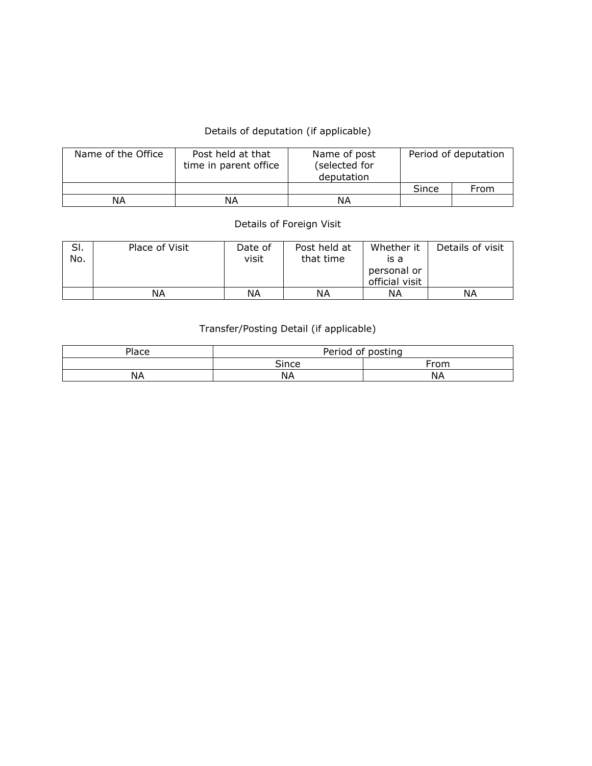## Details of deputation (if applicable)

| Name of the Office | Post held at that<br>time in parent office | Name of post<br>(selected for<br>deputation | Period of deputation |      |  |  |
|--------------------|--------------------------------------------|---------------------------------------------|----------------------|------|--|--|
|                    |                                            |                                             | Since                | From |  |  |
| ΝA                 | ΝA                                         | ΝA                                          |                      |      |  |  |

## Details of Foreign Visit

| SI.<br>No. | Place of Visit | Date of<br>visit | Post held at<br>that time | Whether it<br>is a<br>personal or<br>official visit | Details of visit |
|------------|----------------|------------------|---------------------------|-----------------------------------------------------|------------------|
|            | NА             | ΝA               | ΝA                        | ΝA                                                  | ΝA               |

## Transfer/Posting Detail (if applicable)

| Place | Period,<br>οf | posting     |
|-------|---------------|-------------|
|       | <b>Since</b>  | $r_{\rm r}$ |
| NА    | NД            | NА          |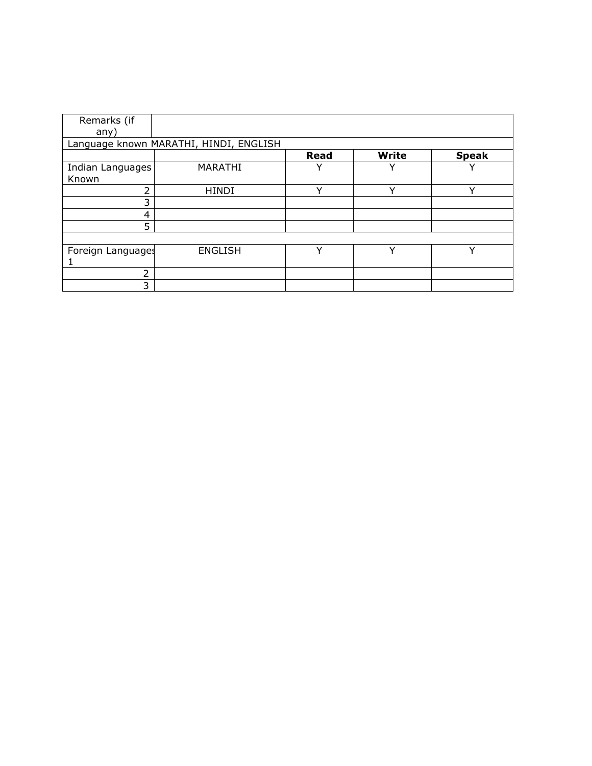| Remarks (if       |                                        |             |              |              |
|-------------------|----------------------------------------|-------------|--------------|--------------|
| any)              |                                        |             |              |              |
|                   | Language known MARATHI, HINDI, ENGLISH |             |              |              |
|                   |                                        | <b>Read</b> | <b>Write</b> | <b>Speak</b> |
| Indian Languages  | MARATHI                                | ν           |              | v            |
| Known             |                                        |             |              |              |
| 2                 | <b>HINDI</b>                           | v           | ν            | ν            |
| 3                 |                                        |             |              |              |
| 4                 |                                        |             |              |              |
| 5                 |                                        |             |              |              |
|                   |                                        |             |              |              |
| Foreign Languages | <b>ENGLISH</b>                         | v           | v            | v            |
|                   |                                        |             |              |              |
| 2                 |                                        |             |              |              |
| 3                 |                                        |             |              |              |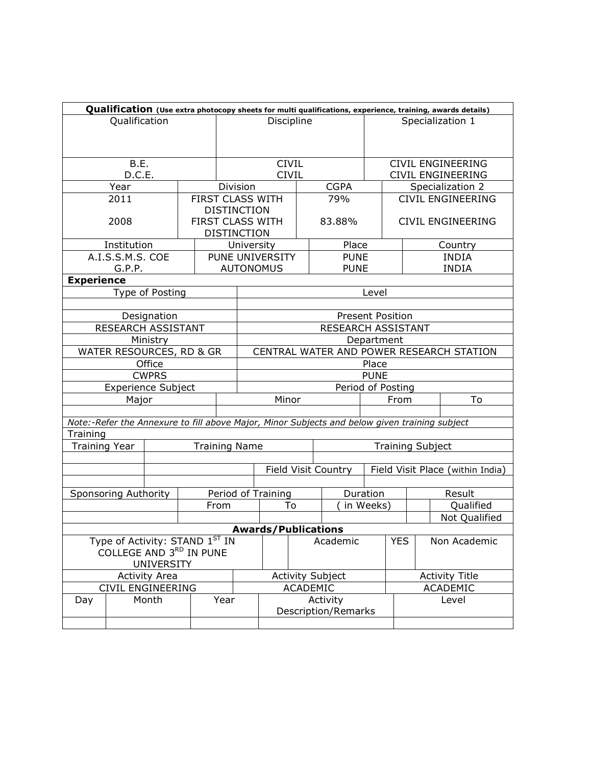|                                                           |                            |                 |  |                      |                                          |                                                                |                     |                                                                                               |          |                          |  | Qualification (Use extra photocopy sheets for multi qualifications, experience, training, awards details) |  |
|-----------------------------------------------------------|----------------------------|-----------------|--|----------------------|------------------------------------------|----------------------------------------------------------------|---------------------|-----------------------------------------------------------------------------------------------|----------|--------------------------|--|-----------------------------------------------------------------------------------------------------------|--|
| Qualification                                             |                            |                 |  |                      |                                          | Discipline                                                     |                     |                                                                                               |          | Specialization 1         |  |                                                                                                           |  |
|                                                           |                            |                 |  |                      |                                          |                                                                |                     |                                                                                               |          |                          |  |                                                                                                           |  |
|                                                           |                            |                 |  |                      |                                          |                                                                |                     |                                                                                               |          |                          |  |                                                                                                           |  |
| B.E.                                                      |                            |                 |  |                      |                                          | <b>CIVIL</b>                                                   |                     |                                                                                               |          |                          |  | <b>CIVIL ENGINEERING</b>                                                                                  |  |
| D.C.E.                                                    |                            |                 |  |                      |                                          | <b>CIVIL</b>                                                   |                     |                                                                                               |          |                          |  | CIVIL ENGINEERING                                                                                         |  |
|                                                           | Year                       |                 |  |                      | Division                                 |                                                                |                     | <b>CGPA</b>                                                                                   |          |                          |  | Specialization 2                                                                                          |  |
|                                                           | 2011                       |                 |  | FIRST CLASS WITH     |                                          |                                                                |                     | 79%                                                                                           |          | <b>CIVIL ENGINEERING</b> |  |                                                                                                           |  |
|                                                           |                            |                 |  | <b>DISTINCTION</b>   |                                          |                                                                |                     |                                                                                               |          |                          |  |                                                                                                           |  |
|                                                           | 2008                       |                 |  | FIRST CLASS WITH     |                                          |                                                                |                     | 83.88%                                                                                        |          |                          |  | <b>CIVIL ENGINEERING</b>                                                                                  |  |
|                                                           |                            |                 |  | <b>DISTINCTION</b>   |                                          |                                                                |                     |                                                                                               |          |                          |  |                                                                                                           |  |
|                                                           | Institution                |                 |  |                      | University                               |                                                                |                     | Place                                                                                         |          |                          |  | Country                                                                                                   |  |
|                                                           | A.I.S.S.M.S. COE           |                 |  |                      |                                          | PUNE UNIVERSITY                                                |                     | <b>PUNE</b>                                                                                   |          |                          |  | <b>INDIA</b>                                                                                              |  |
|                                                           | G.P.P.                     |                 |  |                      |                                          | <b>AUTONOMUS</b>                                               |                     | <b>PUNE</b>                                                                                   |          |                          |  | <b>INDIA</b>                                                                                              |  |
| <b>Experience</b>                                         |                            |                 |  |                      |                                          |                                                                |                     |                                                                                               |          |                          |  |                                                                                                           |  |
|                                                           |                            | Type of Posting |  |                      |                                          |                                                                |                     |                                                                                               | Level    |                          |  |                                                                                                           |  |
|                                                           |                            |                 |  |                      |                                          |                                                                |                     |                                                                                               |          |                          |  |                                                                                                           |  |
|                                                           |                            | Designation     |  |                      | <b>Present Position</b>                  |                                                                |                     |                                                                                               |          |                          |  |                                                                                                           |  |
| RESEARCH ASSISTANT                                        |                            |                 |  |                      | RESEARCH ASSISTANT                       |                                                                |                     |                                                                                               |          |                          |  |                                                                                                           |  |
| Ministry                                                  |                            |                 |  |                      | Department                               |                                                                |                     |                                                                                               |          |                          |  |                                                                                                           |  |
|                                                           | WATER RESOURCES, RD & GR   |                 |  |                      | CENTRAL WATER AND POWER RESEARCH STATION |                                                                |                     |                                                                                               |          |                          |  |                                                                                                           |  |
|                                                           |                            | Office          |  |                      | Place                                    |                                                                |                     |                                                                                               |          |                          |  |                                                                                                           |  |
|                                                           |                            | <b>CWPRS</b>    |  |                      | <b>PUNE</b>                              |                                                                |                     |                                                                                               |          |                          |  |                                                                                                           |  |
|                                                           | <b>Experience Subject</b>  |                 |  |                      |                                          | Period of Posting                                              |                     |                                                                                               |          |                          |  |                                                                                                           |  |
|                                                           | Major                      |                 |  |                      | Minor                                    |                                                                |                     |                                                                                               |          | From                     |  | To                                                                                                        |  |
|                                                           |                            |                 |  |                      |                                          |                                                                |                     |                                                                                               |          |                          |  |                                                                                                           |  |
|                                                           |                            |                 |  |                      |                                          |                                                                |                     | Note:-Refer the Annexure to fill above Major, Minor Subjects and below given training subject |          |                          |  |                                                                                                           |  |
| Training                                                  |                            |                 |  |                      |                                          |                                                                |                     |                                                                                               |          |                          |  |                                                                                                           |  |
| <b>Training Year</b>                                      |                            |                 |  | <b>Training Name</b> |                                          |                                                                |                     |                                                                                               |          | <b>Training Subject</b>  |  |                                                                                                           |  |
|                                                           |                            |                 |  |                      |                                          |                                                                |                     |                                                                                               |          |                          |  |                                                                                                           |  |
|                                                           |                            |                 |  |                      |                                          | <b>Field Visit Country</b><br>Field Visit Place (within India) |                     |                                                                                               |          |                          |  |                                                                                                           |  |
|                                                           |                            |                 |  |                      |                                          |                                                                |                     |                                                                                               |          |                          |  |                                                                                                           |  |
|                                                           | Sponsoring Authority       |                 |  |                      |                                          | Period of Training                                             |                     |                                                                                               | Duration |                          |  | Result                                                                                                    |  |
| From                                                      |                            |                 |  |                      |                                          | To                                                             |                     |                                                                                               |          | in Weeks)<br>Qualified   |  |                                                                                                           |  |
|                                                           |                            |                 |  |                      |                                          |                                                                |                     |                                                                                               |          |                          |  | Not Qualified                                                                                             |  |
|                                                           | <b>Awards/Publications</b> |                 |  |                      |                                          |                                                                |                     |                                                                                               |          |                          |  |                                                                                                           |  |
| Type of Activity: STAND 1ST IN<br>COLLEGE AND 3RD IN PUNE |                            |                 |  |                      |                                          |                                                                |                     | Academic                                                                                      |          | <b>YES</b>               |  | Non Academic                                                                                              |  |
| <b>UNIVERSITY</b>                                         |                            |                 |  |                      |                                          |                                                                |                     |                                                                                               |          |                          |  |                                                                                                           |  |
|                                                           |                            |                 |  |                      |                                          |                                                                |                     |                                                                                               |          |                          |  |                                                                                                           |  |
| <b>Activity Area</b><br>CIVIL ENGINEERING                 |                            |                 |  |                      |                                          | <b>Activity Subject</b><br>ACADEMIC                            |                     |                                                                                               |          | <b>Activity Title</b>    |  |                                                                                                           |  |
| Day                                                       |                            | Month           |  | Year                 |                                          |                                                                |                     | Activity                                                                                      |          | <b>ACADEMIC</b><br>Level |  |                                                                                                           |  |
|                                                           |                            |                 |  |                      |                                          |                                                                | Description/Remarks |                                                                                               |          |                          |  |                                                                                                           |  |
|                                                           |                            |                 |  |                      |                                          |                                                                |                     |                                                                                               |          |                          |  |                                                                                                           |  |